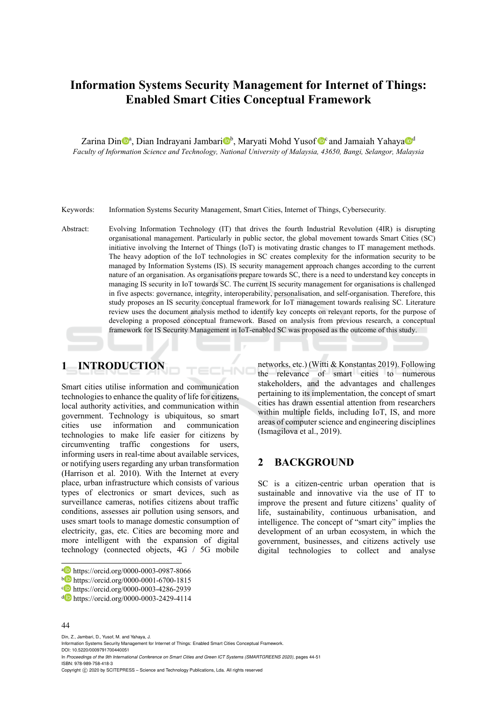# **Information Systems Security Management for Internet of Things: Enabled Smart Cities Conceptual Framework**

Zarina Din<sup>ga</sup>, Dian Indrayani Jambari<sup>ng</sup>, Maryati Mohd Yusof <sup>noc</sup> and Jamaiah Yahaya<sup>ng d</sup> *Faculty of Information Science and Technology, National University of Malaysia, 43650, Bangi, Selangor, Malaysia* 

Keywords: Information Systems Security Management, Smart Cities, Internet of Things, Cybersecurity*.* 

Abstract: Evolving Information Technology (IT) that drives the fourth Industrial Revolution (4IR) is disrupting organisational management. Particularly in public sector, the global movement towards Smart Cities (SC) initiative involving the Internet of Things (IoT) is motivating drastic changes to IT management methods. The heavy adoption of the IoT technologies in SC creates complexity for the information security to be managed by Information Systems (IS). IS security management approach changes according to the current nature of an organisation. As organisations prepare towards SC, there is a need to understand key concepts in managing IS security in IoT towards SC. The current IS security management for organisations is challenged in five aspects: governance, integrity, interoperability, personalisation, and self-organisation. Therefore, this study proposes an IS security conceptual framework for IoT management towards realising SC. Literature review uses the document analysis method to identify key concepts on relevant reports, for the purpose of developing a proposed conceptual framework. Based on analysis from previous research, a conceptual framework for IS Security Management in IoT-enabled SC was proposed as the outcome of this study.

# **1 INTRODUCTION**

Smart cities utilise information and communication technologies to enhance the quality of life for citizens, local authority activities, and communication within government. Technology is ubiquitous, so smart cities use information and communication technologies to make life easier for citizens by circumventing traffic congestions for users, informing users in real-time about available services, or notifying users regarding any urban transformation (Harrison et al. 2010). With the Internet at every place, urban infrastructure which consists of various types of electronics or smart devices, such as surveillance cameras, notifies citizens about traffic conditions, assesses air pollution using sensors, and uses smart tools to manage domestic consumption of electricity, gas, etc. Cities are becoming more and more intelligent with the expansion of digital technology (connected objects, 4G / 5G mobile

#### 44

Din, Z., Jambari, D., Yusof, M. and Yahaya, J.

Information Systems Security Management for Internet of Things: Enabled Smart Cities Conceptual Framework. DOI: 10.5220/0009791700440051

In *Proceedings of the 9th International Conference on Smart Cities and Green ICT Systems (SMARTGREENS 2020)*, pages 44-51 ISBN: 978-989-758-418-3

Copyright © 2020 by SCITEPRESS - Science and Technology Publications, Lda. All rights reserved

networks, etc.) (Witti & Konstantas 2019). Following the relevance of smart cities to numerous stakeholders, and the advantages and challenges pertaining to its implementation, the concept of smart cities has drawn essential attention from researchers within multiple fields, including IoT, IS, and more areas of computer science and engineering disciplines (Ismagilova et al., 2019).

#### **2 BACKGROUND**

SC is a citizen-centric urban operation that is sustainable and innovative via the use of IT to improve the present and future citizens' quality of life, sustainability, continuous urbanisation, and intelligence. The concept of "smart city" implies the development of an urban ecosystem, in which the government, businesses, and citizens actively use digital technologies to collect and analyse

a https://orcid.org/0000-0003-0987-8066<br>
b https://orcid.org/0000-0001-6700-1815<br>
c https://orcid.org/0000-0003-4286-2939<br>
d https://orcid.org/0000-0003-2429-4114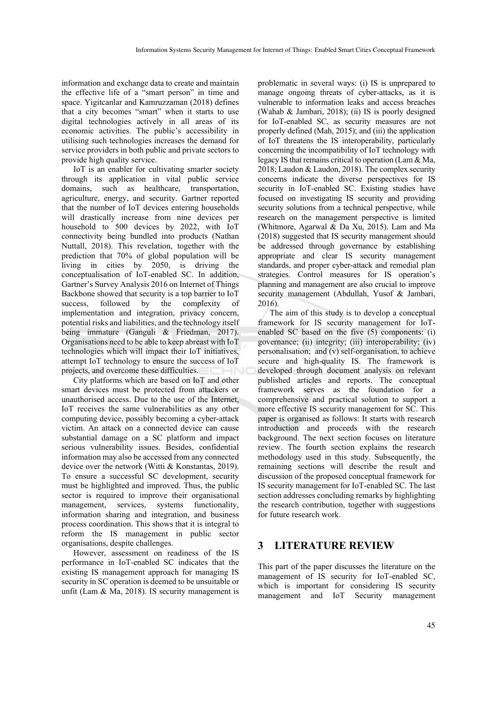information and exchange data to create and maintain the effective life of a "smart person" in time and space. Yigitcanlar and Kamruzzaman (2018) defines that a city becomes "smart" when it starts to use digital technologies actively in all areas of its economic activities. The public's accessibility in utilising such technologies increases the demand for service providers in both public and private sectors to provide high quality service.

IoT is an enabler for cultivating smarter society through its application in vital public service domains, such as healthcare, transportation, agriculture, energy, and security. Gartner reported that the number of IoT devices entering households will drastically increase from nine devices per household to 500 devices by 2022, with IoT connectivity being bundled into products (Nathan Nuttall, 2018). This revelation, together with the prediction that 70% of global population will be living in cities by 2050, is driving the conceptualisation of IoT-enabled SC. In addition, Gartner's Survey Analysis 2016 on Internet of Things Backbone showed that security is a top barrier to IoT success, followed by the complexity of implementation and integration, privacy concern, potential risks and liabilities, and the technology itself being immature (Ganguli & Friedman, 2017). Organisations need to be able to keep abreast with IoT technologies which will impact their IoT initiatives, attempt IoT technology to ensure the success of IoT projects, and overcome these difficulties.

City platforms which are based on IoT and other smart devices must be protected from attackers or unauthorised access. Due to the use of the Internet, IoT receives the same vulnerabilities as any other computing device, possibly becoming a cyber-attack victim. An attack on a connected device can cause substantial damage on a SC platform and impact serious vulnerability issues. Besides, confidential information may also be accessed from any connected device over the network (Witti & Konstantas, 2019). To ensure a successful SC development, security must be highlighted and improved. Thus, the public sector is required to improve their organisational management, services, systems functionality, information sharing and integration, and business process coordination. This shows that it is integral to reform the IS management in public sector organisations, despite challenges.

However, assessment on readiness of the IS performance in IoT-enabled SC indicates that the existing IS management approach for managing IS security in SC operation is deemed to be unsuitable or unfit (Lam & Ma, 2018). IS security management is

problematic in several ways: (i) IS is unprepared to manage ongoing threats of cyber-attacks, as it is vulnerable to information leaks and access breaches (Wahab & Jambari, 2018); (ii) IS is poorly designed for IoT-enabled SC, as security measures are not properly defined (Mah, 2015); and (iii) the application of IoT threatens the IS interoperability, particularly concerning the incompatibility of IoT technology with legacy IS that remains critical to operation (Lam & Ma, 2018; Laudon & Laudon, 2018). The complex security concerns indicate the diverse perspectives for IS security in IoT-enabled SC. Existing studies have focused on investigating IS security and providing security solutions from a technical perspective, while research on the management perspective is limited (Whitmore, Agarwal & Da Xu, 2015). Lam and Ma (2018) suggested that IS security management should be addressed through governance by establishing appropriate and clear IS security management standards, and proper cyber-attack and remedial plan strategies. Control measures for IS operation's planning and management are also crucial to improve security management (Abdullah, Yusof & Jambari, 2016).

The aim of this study is to develop a conceptual framework for IS security management for IoTenabled SC based on the five (5) components: (i) governance; (ii) integrity; (iii) interoperability; (iv) personalisation; and (v) self-organisation, to achieve secure and high-quality IS. The framework is developed through document analysis on relevant published articles and reports. The conceptual framework serves as the foundation for a comprehensive and practical solution to support a more effective IS security management for SC. This paper is organised as follows: It starts with research introduction and proceeds with the research background. The next section focuses on literature review. The fourth section explains the research methodology used in this study. Subsequently, the remaining sections will describe the result and discussion of the proposed conceptual framework for IS security management for IoT-enabled SC. The last section addresses concluding remarks by highlighting the research contribution, together with suggestions for future research work.

# **3 LITERATURE REVIEW**

This part of the paper discusses the literature on the management of IS security for IoT-enabled SC, which is important for considering IS security management and IoT Security management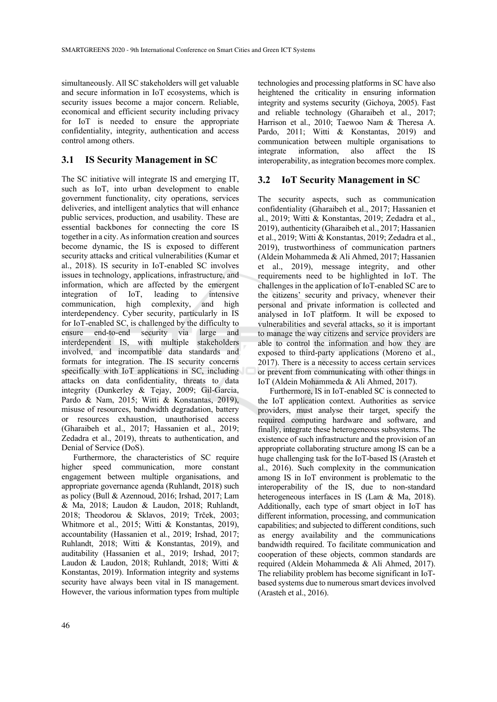simultaneously. All SC stakeholders will get valuable and secure information in IoT ecosystems, which is security issues become a major concern. Reliable, economical and efficient security including privacy for IoT is needed to ensure the appropriate confidentiality, integrity, authentication and access control among others.

### **3.1 IS Security Management in SC**

The SC initiative will integrate IS and emerging IT, such as IoT, into urban development to enable government functionality, city operations, services deliveries, and intelligent analytics that will enhance public services, production, and usability. These are essential backbones for connecting the core IS together in a city. As information creation and sources become dynamic, the IS is exposed to different security attacks and critical vulnerabilities (Kumar et al., 2018). IS security in IoT-enabled SC involves issues in technology, applications, infrastructure, and information, which are affected by the emergent integration of IoT, leading to intensive communication, high complexity, and high interdependency. Cyber security, particularly in IS for IoT-enabled SC, is challenged by the difficulty to ensure end-to-end security via large and end-to-end security via large and interdependent IS, with multiple stakeholders involved, and incompatible data standards and formats for integration. The IS security concerns specifically with IoT applications in SC, including attacks on data confidentiality, threats to data integrity (Dunkerley & Tejay, 2009; Gil-Garcia, Pardo & Nam, 2015; Witti & Konstantas, 2019), misuse of resources, bandwidth degradation, battery or resources exhaustion, unauthorised access (Gharaibeh et al., 2017; Hassanien et al., 2019; Zedadra et al., 2019), threats to authentication, and Denial of Service (DoS).

Furthermore, the characteristics of SC require higher speed communication, more constant engagement between multiple organisations, and appropriate governance agenda (Ruhlandt, 2018) such as policy (Bull & Azennoud, 2016; Irshad, 2017; Lam & Ma, 2018; Laudon & Laudon, 2018; Ruhlandt, 2018; Theodorou & Sklavos, 2019; Trček, 2003; Whitmore et al., 2015; Witti & Konstantas, 2019), accountability (Hassanien et al., 2019; Irshad, 2017; Ruhlandt, 2018; Witti & Konstantas, 2019), and auditability (Hassanien et al., 2019; Irshad, 2017; Laudon & Laudon, 2018; Ruhlandt, 2018; Witti & Konstantas, 2019). Information integrity and systems security have always been vital in IS management. However, the various information types from multiple

technologies and processing platforms in SC have also heightened the criticality in ensuring information integrity and systems security (Gichoya, 2005). Fast and reliable technology (Gharaibeh et al., 2017; Harrison et al., 2010; Taewoo Nam & Theresa A. Pardo, 2011; Witti & Konstantas, 2019) and communication between multiple organisations to integrate information, also affect the IS interoperability, as integration becomes more complex.

#### **3.2 IoT Security Management in SC**

The security aspects, such as communication confidentiality (Gharaibeh et al., 2017; Hassanien et al., 2019; Witti & Konstantas, 2019; Zedadra et al., 2019), authenticity (Gharaibeh et al., 2017; Hassanien et al., 2019; Witti & Konstantas, 2019; Zedadra et al., 2019), trustworthiness of communication partners (Aldein Mohammeda & Ali Ahmed, 2017; Hassanien et al., 2019), message integrity, and other requirements need to be highlighted in IoT. The challenges in the application of IoT-enabled SC are to the citizens' security and privacy, whenever their personal and private information is collected and analysed in IoT platform. It will be exposed to vulnerabilities and several attacks, so it is important to manage the way citizens and service providers are able to control the information and how they are exposed to third-party applications (Moreno et al., 2017). There is a necessity to access certain services or prevent from communicating with other things in IoT (Aldein Mohammeda & Ali Ahmed, 2017).

Furthermore, IS in IoT-enabled SC is connected to the IoT application context. Authorities as service providers, must analyse their target, specify the required computing hardware and software, and finally, integrate these heterogeneous subsystems. The existence of such infrastructure and the provision of an appropriate collaborating structure among IS can be a huge challenging task for the IoT-based IS (Arasteh et al., 2016). Such complexity in the communication among IS in IoT environment is problematic to the interoperability of the IS, due to non-standard heterogeneous interfaces in IS (Lam & Ma, 2018). Additionally, each type of smart object in IoT has different information, processing, and communication capabilities; and subjected to different conditions, such as energy availability and the communications bandwidth required. To facilitate communication and cooperation of these objects, common standards are required (Aldein Mohammeda & Ali Ahmed, 2017). The reliability problem has become significant in IoTbased systems due to numerous smart devices involved (Arasteh et al., 2016).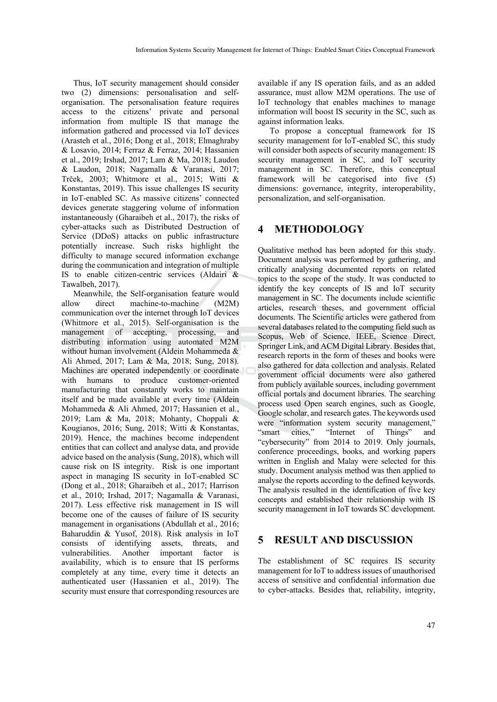Thus, IoT security management should consider two (2) dimensions: personalisation and selforganisation. The personalisation feature requires access to the citizens' private and personal information from multiple IS that manage the information gathered and processed via IoT devices (Arasteh et al., 2016; Dong et al., 2018; Elmaghraby & Losavio, 2014; Ferraz & Ferraz, 2014; Hassanien et al., 2019; Irshad, 2017; Lam & Ma, 2018; Laudon & Laudon, 2018; Nagamalla & Varanasi, 2017; Trček, 2003; Whitmore et al., 2015; Witti & Konstantas, 2019). This issue challenges IS security in IoT-enabled SC. As massive citizens' connected devices generate staggering volume of information instantaneously (Gharaibeh et al., 2017), the risks of cyber-attacks such as Distributed Destruction of Service (DDoS) attacks on public infrastructure potentially increase. Such risks highlight the difficulty to manage secured information exchange during the communication and integration of multiple IS to enable citizen-centric services (Aldairi & Tawalbeh, 2017).

Meanwhile, the Self-organisation feature would allow direct machine-to-machine (M2M) communication over the internet through IoT devices (Whitmore et al., 2015). Self-organisation is the management of accepting, processing, and distributing information using automated M2M without human involvement (Aldein Mohammeda & Ali Ahmed, 2017; Lam & Ma, 2018; Sung, 2018). Machines are operated independently or coordinate with humans to produce customer-oriented manufacturing that constantly works to maintain itself and be made available at every time (Aldein Mohammeda & Ali Ahmed, 2017; Hassanien et al., 2019; Lam & Ma, 2018; Mohanty, Choppali & Kougianos, 2016; Sung, 2018; Witti & Konstantas, 2019). Hence, the machines become independent entities that can collect and analyse data, and provide advice based on the analysis (Sung, 2018), which will cause risk on IS integrity. Risk is one important aspect in managing IS security in IoT-enabled SC (Dong et al., 2018; Gharaibeh et al., 2017; Harrison et al., 2010; Irshad, 2017; Nagamalla & Varanasi, 2017). Less effective risk management in IS will become one of the causes of failure of IS security management in organisations (Abdullah et al., 2016; Baharuddin & Yusof, 2018). Risk analysis in IoT consists of identifying assets, threats, and vulnerabilities. Another important factor is availability, which is to ensure that IS performs completely at any time, every time it detects an authenticated user (Hassanien et al., 2019). The security must ensure that corresponding resources are

available if any IS operation fails, and as an added assurance, must allow M2M operations. The use of IoT technology that enables machines to manage information will boost IS security in the SC, such as against information leaks.

To propose a conceptual framework for IS security management for IoT-enabled SC, this study will consider both aspects of security management: IS security management in SC, and IoT security management in SC. Therefore, this conceptual framework will be categorised into five (5) dimensions: governance, integrity, interoperability, personalization, and self-organisation.

# **4 METHODOLOGY**

Qualitative method has been adopted for this study. Document analysis was performed by gathering, and critically analysing documented reports on related topics to the scope of the study. It was conducted to identify the key concepts of IS and IoT security management in SC. The documents include scientific articles, research theses, and government official documents. The Scientific articles were gathered from several databases related to the computing field such as Scopus, Web of Science, IEEE, Science Direct, Springer Link, and ACM Digital Library. Besides that, research reports in the form of theses and books were also gathered for data collection and analysis. Related government official documents were also gathered from publicly available sources, including government official portals and document libraries. The searching process used Open search engines, such as Google, Google scholar, and research gates. The keywords used were "information system security management," "smart cities," "Internet of Things" and "cybersecurity" from 2014 to 2019. Only journals, conference proceedings, books, and working papers written in English and Malay were selected for this study. Document analysis method was then applied to analyse the reports according to the defined keywords. The analysis resulted in the identification of five key concepts and established their relationship with IS security management in IoT towards SC development.

### **5 RESULT AND DISCUSSION**

The establishment of SC requires IS security management for IoT to address issues of unauthorised access of sensitive and confidential information due to cyber-attacks. Besides that, reliability, integrity,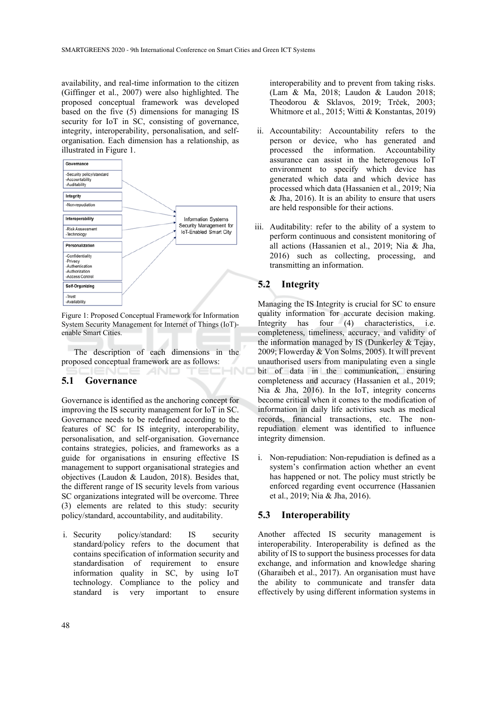availability, and real-time information to the citizen (Giffinger et al., 2007) were also highlighted. The proposed conceptual framework was developed based on the five (5) dimensions for managing IS security for IoT in SC, consisting of governance, integrity, interoperability, personalisation, and selforganisation. Each dimension has a relationship, as illustrated in Figure 1.



Figure 1: Proposed Conceptual Framework for Information System Security Management for Internet of Things (IoT) enable Smart Cities.

The description of each dimensions in the proposed conceptual framework are as follows:  $\neg$ NC

AND

### **5.1 Governance**

Governance is identified as the anchoring concept for improving the IS security management for IoT in SC. Governance needs to be redefined according to the features of SC for IS integrity, interoperability, personalisation, and self-organisation. Governance contains strategies, policies, and frameworks as a guide for organisations in ensuring effective IS management to support organisational strategies and objectives (Laudon & Laudon, 2018). Besides that, the different range of IS security levels from various SC organizations integrated will be overcome. Three (3) elements are related to this study: security policy/standard, accountability, and auditability.

i. Security policy/standard: IS security standard/policy refers to the document that contains specification of information security and standardisation of requirement to ensure information quality in SC, by using IoT technology. Compliance to the policy and standard is very important to ensure

interoperability and to prevent from taking risks. (Lam & Ma, 2018; Laudon & Laudon 2018; Theodorou & Sklavos, 2019; Trček, 2003; Whitmore et al., 2015; Witti & Konstantas, 2019)

- ii. Accountability: Accountability refers to the person or device, who has generated and processed the information. Accountability assurance can assist in the heterogenous IoT environment to specify which device has generated which data and which device has processed which data (Hassanien et al., 2019; Nia  $&$  Jha, 2016). It is an ability to ensure that users are held responsible for their actions.
- iii. Auditability: refer to the ability of a system to perform continuous and consistent monitoring of all actions (Hassanien et al., 2019; Nia & Jha, 2016) such as collecting, processing, and transmitting an information.

# **5.2 Integrity**

Managing the IS Integrity is crucial for SC to ensure quality information for accurate decision making. Integrity has four (4) characteristics, i.e. completeness, timeliness, accuracy, and validity of the information managed by IS (Dunkerley & Tejay, 2009; Flowerday & Von Solms, 2005). It will prevent unauthorised users from manipulating even a single bit of data in the communication, ensuring completeness and accuracy (Hassanien et al., 2019; Nia & Jha, 2016). In the IoT, integrity concerns become critical when it comes to the modification of information in daily life activities such as medical records, financial transactions, etc. The nonrepudiation element was identified to influence integrity dimension.

i. Non-repudiation: Non-repudiation is defined as a system's confirmation action whether an event has happened or not. The policy must strictly be enforced regarding event occurrence (Hassanien et al., 2019; Nia & Jha, 2016).

### **5.3 Interoperability**

Another affected IS security management is interoperability. Interoperability is defined as the ability of IS to support the business processes for data exchange, and information and knowledge sharing (Gharaibeh et al., 2017). An organisation must have the ability to communicate and transfer data effectively by using different information systems in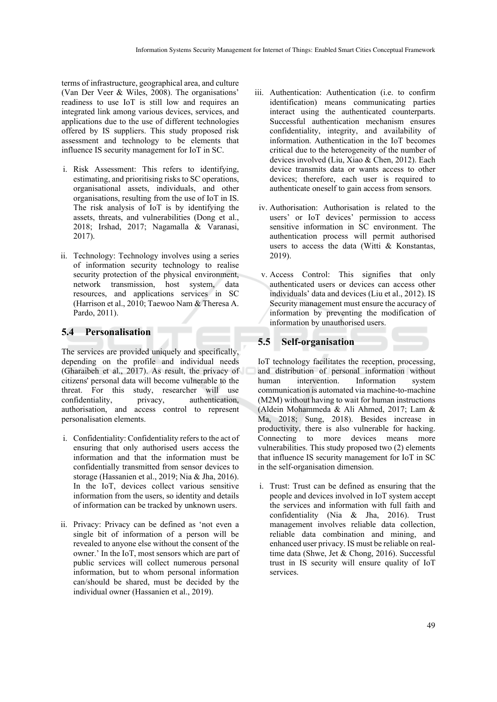terms of infrastructure, geographical area, and culture (Van Der Veer & Wiles, 2008). The organisations' readiness to use IoT is still low and requires an integrated link among various devices, services, and applications due to the use of different technologies offered by IS suppliers. This study proposed risk assessment and technology to be elements that influence IS security management for IoT in SC.

- i. Risk Assessment: This refers to identifying, estimating, and prioritising risks to SC operations, organisational assets, individuals, and other organisations, resulting from the use of IoT in IS. The risk analysis of IoT is by identifying the assets, threats, and vulnerabilities (Dong et al., 2018; Irshad, 2017; Nagamalla & Varanasi, 2017).
- ii. Technology: Technology involves using a series of information security technology to realise security protection of the physical environment, network transmission, host system, data resources, and applications services in SC (Harrison et al., 2010; Taewoo Nam & Theresa A. Pardo, 2011).

#### **5.4 Personalisation**

The services are provided uniquely and specifically, depending on the profile and individual needs (Gharaibeh et al., 2017). As result, the privacy of citizens' personal data will become vulnerable to the threat. For this study, researcher will use confidentiality, privacy, authentication, authorisation, and access control to represent personalisation elements.

- i. Confidentiality: Confidentiality refers to the act of ensuring that only authorised users access the information and that the information must be confidentially transmitted from sensor devices to storage (Hassanien et al., 2019; Nia & Jha, 2016). In the IoT, devices collect various sensitive information from the users, so identity and details of information can be tracked by unknown users.
- ii. Privacy: Privacy can be defined as 'not even a single bit of information of a person will be revealed to anyone else without the consent of the owner.' In the IoT, most sensors which are part of public services will collect numerous personal information, but to whom personal information can/should be shared, must be decided by the individual owner (Hassanien et al., 2019).
- iii. Authentication: Authentication (i.e. to confirm identification) means communicating parties interact using the authenticated counterparts. Successful authentication mechanism ensures confidentiality, integrity, and availability of information. Authentication in the IoT becomes critical due to the heterogeneity of the number of devices involved (Liu, Xiao & Chen, 2012). Each device transmits data or wants access to other devices; therefore, each user is required to authenticate oneself to gain access from sensors.
- iv. Authorisation: Authorisation is related to the users' or IoT devices' permission to access sensitive information in SC environment. The authentication process will permit authorised users to access the data (Witti & Konstantas, 2019).
- v. Access Control: This signifies that only authenticated users or devices can access other individuals' data and devices (Liu et al., 2012). IS Security management must ensure the accuracy of information by preventing the modification of information by unauthorised users.

# **5.5 Self-organisation**

IoT technology facilitates the reception, processing, and distribution of personal information without human intervention. Information system communication is automated via machine-to-machine (M2M) without having to wait for human instructions (Aldein Mohammeda & Ali Ahmed, 2017; Lam & Ma, 2018; Sung, 2018). Besides increase in productivity, there is also vulnerable for hacking. Connecting to more devices means more vulnerabilities. This study proposed two (2) elements that influence IS security management for IoT in SC in the self-organisation dimension.

i. Trust: Trust can be defined as ensuring that the people and devices involved in IoT system accept the services and information with full faith and confidentiality (Nia & Jha, 2016). Trust management involves reliable data collection, reliable data combination and mining, and enhanced user privacy. IS must be reliable on realtime data (Shwe, Jet & Chong, 2016). Successful trust in IS security will ensure quality of IoT services.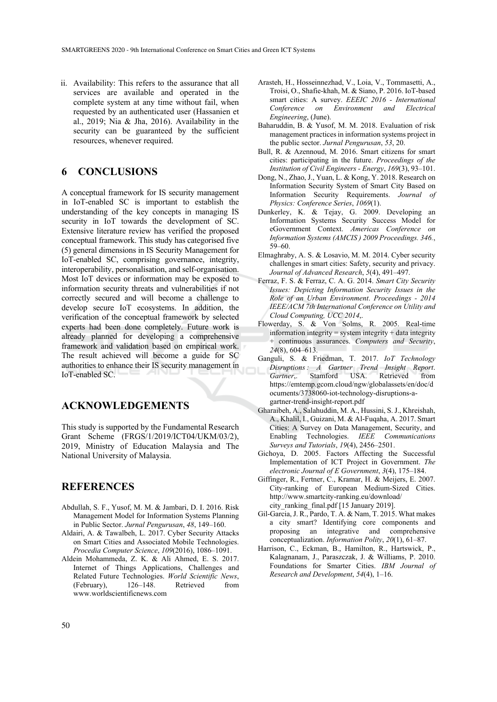ii. Availability: This refers to the assurance that all services are available and operated in the complete system at any time without fail, when requested by an authenticated user (Hassanien et al., 2019; Nia & Jha, 2016). Availability in the security can be guaranteed by the sufficient resources, whenever required.

# **6 CONCLUSIONS**

A conceptual framework for IS security management in IoT-enabled SC is important to establish the understanding of the key concepts in managing IS security in IoT towards the development of SC. Extensive literature review has verified the proposed conceptual framework. This study has categorised five (5) general dimensions in IS Security Management for IoT-enabled SC, comprising governance, integrity, interoperability, personalisation, and self-organisation. Most IoT devices or information may be exposed to information security threats and vulnerabilities if not correctly secured and will become a challenge to develop secure IoT ecosystems. In addition, the verification of the conceptual framework by selected experts had been done completely. Future work is already planned for developing a comprehensive framework and validation based on empirical work. The result achieved will become a guide for SC authorities to enhance their IS security management in IoT-enabled SC.

# **ACKNOWLEDGEMENTS**

This study is supported by the Fundamental Research Grant Scheme (FRGS/1/2019/ICT04/UKM/03/2), 2019, Ministry of Education Malaysia and The National University of Malaysia.

### **REFERENCES**

- Abdullah, S. F., Yusof, M. M. & Jambari, D. I. 2016. Risk Management Model for Information Systems Planning in Public Sector. *Jurnal Pengurusan*, *48*, 149–160.
- Aldairi, A. & Tawalbeh, L. 2017. Cyber Security Attacks on Smart Cities and Associated Mobile Technologies. *Procedia Computer Science*, *109*(2016), 1086–1091.
- Aldein Mohammeda, Z. K. & Ali Ahmed, E. S. 2017. Internet of Things Applications, Challenges and Related Future Technologies. *World Scientific News*, (February), 126–148. Retrieved from www.worldscientificnews.com
- Arasteh, H., Hosseinnezhad, V., Loia, V., Tommasetti, A., Troisi, O., Shafie-khah, M. & Siano, P. 2016. IoT-based smart cities: A survey. *EEEIC 2016 - International Conference on Environment and Electrical Engineering*, (June).
- Baharuddin, B. & Yusof, M. M. 2018. Evaluation of risk management practices in information systems project in the public sector. *Jurnal Pengurusan*, *53*, 20.
- Bull, R. & Azennoud, M. 2016. Smart citizens for smart cities: participating in the future. *Proceedings of the Institution of Civil Engineers - Energy*, *169*(3), 93–101.
- Dong, N., Zhao, J., Yuan, L. & Kong, Y. 2018. Research on Information Security System of Smart City Based on Information Security Requirements. *Journal of Physics: Conference Series*, *1069*(1).
- Dunkerley, K. & Tejay, G. 2009. Developing an Information Systems Security Success Model for eGovernment Context. *Americas Conference on Information Systems (AMCIS ) 2009 Proceedings. 346.*, 59–60.
- Elmaghraby, A. S. & Losavio, M. M. 2014. Cyber security challenges in smart cities: Safety, security and privacy. *Journal of Advanced Research*, *5*(4), 491–497.
- Ferraz, F. S. & Ferraz, C. A. G. 2014. *Smart City Security Issues: Depicting Information Security Issues in the Role of an Urban Environment*. *Proceedings - 2014 IEEE/ACM 7th International Conference on Utility and Cloud Computing, UCC 2014*,.
- Flowerday, S. & Von Solms, R. 2005. Real-time information integrity = system integrity + data integrity + continuous assurances. *Computers and Security*, *24*(8), 604–613.
- Ganguli, S. & Friedman, T. 2017. *IoT Technology Disruptions : A Gartner Trend Insight Report*. *Gartner*,. Stamford USA. Retrieved from https://emtemp.gcom.cloud/ngw/globalassets/en/doc/d ocuments/3738060-iot-technology-disruptions-agartner-trend-insight-report.pdf
- Gharaibeh, A., Salahuddin, M. A., Hussini, S. J., Khreishah, A., Khalil, I., Guizani, M. & Al-Fuqaha, A. 2017. Smart Cities: A Survey on Data Management, Security, and Enabling Technologies. *IEEE Communications Surveys and Tutorials*, *19*(4), 2456–2501.
- Gichoya, D. 2005. Factors Affecting the Successful Implementation of ICT Project in Government. *The electronic Journal of E Government*, *3*(4), 175–184.
- Giffinger, R., Fertner, C., Kramar, H. & Meijers, E. 2007. City-ranking of European Medium-Sized Cities. http://www.smartcity-ranking.eu/download/ city\_ranking\_final.pdf [15 January 2019].
- Gil-Garcia, J. R., Pardo, T. A. & Nam, T. 2015. What makes a city smart? Identifying core components and proposing an integrative and comprehensive conceptualization. *Information Polity*, *20*(1), 61–87.
- Harrison, C., Eckman, B., Hamilton, R., Hartswick, P., Kalagnanam, J., Paraszczak, J. & Williams, P. 2010. Foundations for Smarter Cities. *IBM Journal of Research and Development*, *54*(4), 1–16.